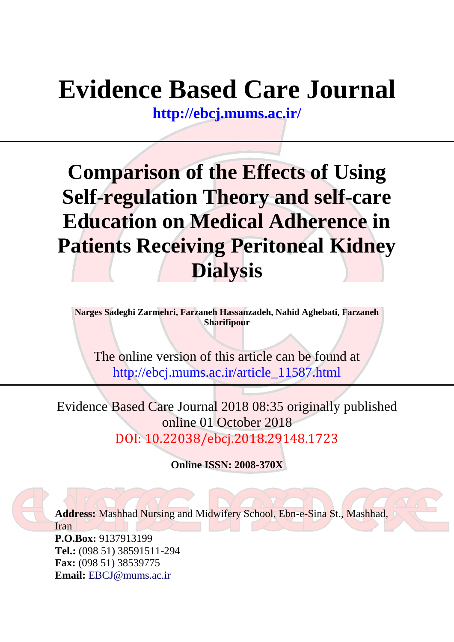# **Evidence Based Care Journal**

**<http://ebcj.mums.ac.ir/>**

## **Comparison of the Effects of Using Self-regulation Theory and self-care Education on Medical Adherence in Patients Receiving Peritoneal Kidney Dialysis**

**Narges Sadeghi Zarmehri, Farzaneh Hassanzadeh, Nahid Aghebati, Farzaneh Sharifipour** 

The online version of this article can be found at http://ebcj.mums.ac.ir/article\_11587.html

Evidence Based Care Journal 2018 08:35 originally published online 01 October 2018 DOI: 10.22038/ebcj.2018.29148.1723

**Online ISSN: 2008-370X**

**Address:** Mashhad Nursing and Midwifery School, Ebn-e-Sina St., Mashhad, Iran **P.O.Box:** 9137913199 **Tel.:** (098 51) 38591511-294 **Fax:** (098 51) 38539775

**Email:** [EBCJ@mums.ac.ir](mailto:EBCJ@mums.ac.ir)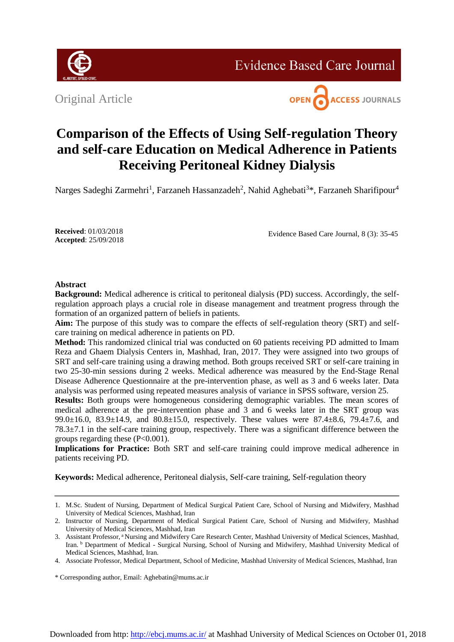

**Evidence Based Care Journal** 

Original Article



### **Comparison of the Effects of Using Self-regulation Theory and self-care Education on Medical Adherence in Patients Receiving Peritoneal Kidney Dialysis**

Narges Sadeghi Zarmehri<sup>1</sup>, Farzaneh Hassanzadeh<sup>2</sup>, Nahid Aghebati<sup>3\*</sup>, Farzaneh Sharifipour<sup>4</sup>

**Received**: 01/03/2018 **Accepted**: 25/09/2018

Evidence Based Care Journal, 8 (3): 35-45

#### **Abstract**

**Background:** Medical adherence is critical to peritoneal dialysis (PD) success. Accordingly, the selfregulation approach plays a crucial role in disease management and treatment progress through the formation of an organized pattern of beliefs in patients.

**Aim:** The purpose of this study was to compare the effects of self-regulation theory (SRT) and selfcare training on medical adherence in patients on PD.

**Method:** This randomized clinical trial was conducted on 60 patients receiving PD admitted to Imam Reza and Ghaem Dialysis Centers in, Mashhad, Iran, 2017. They were assigned into two groups of SRT and self-care training using a drawing method. Both groups received SRT or self-care training in two 25-30-min sessions during 2 weeks. Medical adherence was measured by the End-Stage Renal Disease Adherence Questionnaire at the pre-intervention phase, as well as 3 and 6 weeks later. Data analysis was performed using repeated measures analysis of variance in SPSS software, version 25.

**Results:** Both groups were homogeneous considering demographic variables. The mean scores of medical adherence at the pre-intervention phase and 3 and 6 weeks later in the SRT group was 99.0±16.0, 83.9±14.9, and 80.8±15.0, respectively. These values were 87.4±8.6, 79.4±7.6, and 78.3±7.1 in the self-care training group, respectively. There was a significant difference between the groups regarding these (P<0.001).

**Implications for Practice:** Both SRT and self-care training could improve medical adherence in patients receiving PD.

**Keywords:** Medical adherence, Peritoneal dialysis, Self-care training, Self-regulation theory

<sup>1.</sup> M.Sc. Student of Nursing, Department of Medical Surgical Patient Care, School of Nursing and Midwifery, Mashhad University of Medical Sciences, Mashhad, Iran

<sup>2.</sup> Instructor of Nursing, Department of Medical Surgical Patient Care, School of Nursing and Midwifery, Mashhad University of Medical Sciences, Mashhad, Iran

<sup>3.</sup> Assistant Professor, <sup>a</sup>Nursing and Midwifery Care Research Center, Mashhad University of Medical Sciences, Mashhad, Iran. <sup>b</sup> Department of Medical - Surgical Nursing, School of Nursing and Midwifery, Mashhad University Medical of Medical Sciences, Mashhad, Iran.

<sup>4.</sup> Associate Professor, Medical Department, School of Medicine, Mashhad University of Medical Sciences, Mashhad, Iran

<sup>\*</sup> Corresponding author, Email: [Aghebatin@mums.ac.ir](mailto:aghebatin@mums.ac.ir)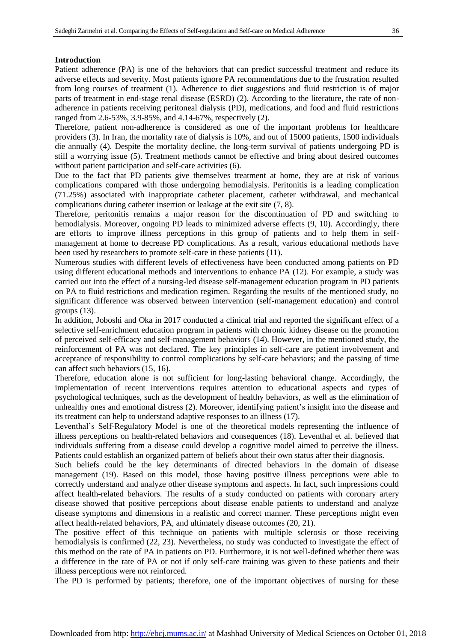#### **Introduction**

Patient adherence (PA) is one of the behaviors that can predict successful treatment and reduce its adverse effects and severity. Most patients ignore PA recommendations due to the frustration resulted from long courses of treatment (1). Adherence to diet suggestions and fluid restriction is of major parts of treatment in end-stage renal disease (ESRD) (2). According to the literature, the rate of nonadherence in patients receiving peritoneal dialysis (PD), medications, and food and fluid restrictions ranged from 2.6-53%, 3.9-85%, and 4.14-67%, respectively (2).

Therefore, patient non-adherence is considered as one of the important problems for healthcare providers (3). In Iran, the mortality rate of dialysis is 10%, and out of 15000 patients, 1500 individuals die annually (4). Despite the mortality decline, the long-term survival of patients undergoing PD is still a worrying issue (5). Treatment methods cannot be effective and bring about desired outcomes without patient participation and self-care activities (6).

Due to the fact that PD patients give themselves treatment at home, they are at risk of various complications compared with those undergoing hemodialysis. Peritonitis is a leading complication (71.25%) associated with inappropriate catheter placement, catheter withdrawal, and mechanical complications during catheter insertion or leakage at the exit site (7, 8).

Therefore, peritonitis remains a major reason for the discontinuation of PD and switching to hemodialysis. Moreover, ongoing PD leads to minimized adverse effects (9, 10). Accordingly, there are efforts to improve illness perceptions in this group of patients and to help them in selfmanagement at home to decrease PD complications. As a result, various educational methods have been used by researchers to promote self-care in these patients (11).

Numerous studies with different levels of effectiveness have been conducted among patients on PD using different educational methods and interventions to enhance PA (12). For example, a study was carried out into the effect of a nursing-led disease self-management education program in PD patients on PA to fluid restrictions and medication regimen. Regarding the results of the mentioned study, no significant difference was observed between intervention (self-management education) and control groups (13).

In addition, Joboshi and Oka in 2017 conducted a clinical trial and reported the significant effect of a selective self-enrichment education program in patients with chronic kidney disease on the promotion of perceived self-efficacy and self-management behaviors (14). However, in the mentioned study, the reinforcement of PA was not declared. The key principles in self-care are patient involvement and acceptance of responsibility to control complications by self-care behaviors; and the passing of time can affect such behaviors (15, 16).

Therefore, education alone is not sufficient for long-lasting behavioral change. Accordingly, the implementation of recent interventions requires attention to educational aspects and types of psychological techniques, such as the development of healthy behaviors, as well as the elimination of unhealthy ones and emotional distress (2). Moreover, identifying patient's insight into the disease and its treatment can help to understand adaptive responses to an illness (17).

Leventhal's Self-Regulatory Model is one of the theoretical models representing the influence of illness perceptions on health-related behaviors and consequences (18). Leventhal et al. believed that individuals suffering from a disease could develop a cognitive model aimed to perceive the illness. Patients could establish an organized pattern of beliefs about their own status after their diagnosis.

Such beliefs could be the key determinants of directed behaviors in the domain of disease management (19). Based on this model, those having positive illness perceptions were able to correctly understand and analyze other disease symptoms and aspects. In fact, such impressions could affect health-related behaviors. The results of a study conducted on patients with coronary artery disease showed that positive perceptions about disease enable patients to understand and analyze disease symptoms and dimensions in a realistic and correct manner. These perceptions might even affect health-related behaviors, PA, and ultimately disease outcomes (20, 21).

The positive effect of this technique on patients with multiple sclerosis or those receiving hemodialysis is confirmed (22, 23). Nevertheless, no study was conducted to investigate the effect of this method on the rate of PA in patients on PD. Furthermore, it is not well-defined whether there was a difference in the rate of PA or not if only self-care training was given to these patients and their illness perceptions were not reinforced.

The PD is performed by patients; therefore, one of the important objectives of nursing for these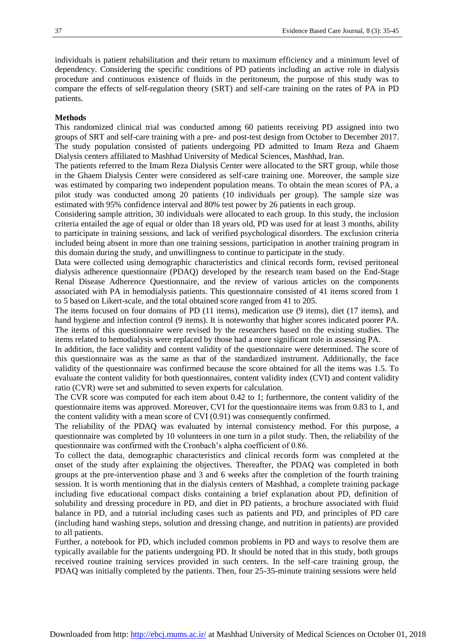individuals is patient rehabilitation and their return to maximum efficiency and a minimum level of dependency. Considering the specific conditions of PD patients including an active role in dialysis procedure and continuous existence of fluids in the peritoneum, the purpose of this study was to compare the effects of self-regulation theory (SRT) and self-care training on the rates of PA in PD patients.

#### **Methods**

This randomized clinical trial was conducted among 60 patients receiving PD assigned into two groups of SRT and self-care training with a pre- and post-test design from October to December 2017. The study population consisted of patients undergoing PD admitted to Imam Reza and Ghaem Dialysis centers affiliated to Mashhad University of Medical Sciences, Mashhad, Iran.

The patients referred to the Imam Reza Dialysis Center were allocated to the SRT group, while those in the Ghaem Dialysis Center were considered as self-care training one. Moreover, the sample size was estimated by comparing two independent population means. To obtain the mean scores of PA, a pilot study was conducted among 20 patients (10 individuals per group). The sample size was estimated with 95% confidence interval and 80% test power by 26 patients in each group.

Considering sample attrition, 30 individuals were allocated to each group. In this study, the inclusion criteria entailed the age of equal or older than 18 years old, PD was used for at least 3 months, ability to participate in training sessions, and lack of verified psychological disorders. The exclusion criteria included being absent in more than one training sessions, participation in another training program in this domain during the study, and unwillingness to continue to participate in the study.

Data were collected using demographic characteristics and clinical records form, revised peritoneal dialysis adherence questionnaire (PDAQ) developed by the research team based on the End-Stage Renal Disease Adherence Questionnaire, and the review of various articles on the components associated with PA in hemodialysis patients. This questionnaire consisted of 41 items scored from 1 to 5 based on Likert-scale, and the total obtained score ranged from 41 to 205.

The items focused on four domains of PD (11 items), medication use (9 items), diet (17 items), and hand hygiene and infection control (9 items). It is noteworthy that higher scores indicated poorer PA. The items of this questionnaire were revised by the researchers based on the existing studies. The items related to hemodialysis were replaced by those had a more significant role in assessing PA.

In addition, the face validity and content validity of the questionnaire were determined. The score of this questionnaire was as the same as that of the standardized instrument. Additionally, the face validity of the questionnaire was confirmed because the score obtained for all the items was 1.5. To evaluate the content validity for both questionnaires, content validity index (CVI) and content validity ratio (CVR) were set and submitted to seven experts for calculation.

The CVR score was computed for each item about 0.42 to 1; furthermore, the content validity of the questionnaire items was approved. Moreover, CVI for the questionnaire items was from 0.83 to 1, and the content validity with a mean score of CVI (0.91) was consequently confirmed.

The reliability of the PDAQ was evaluated by internal consistency method. For this purpose, a questionnaire was completed by 10 volunteers in one turn in a pilot study. Then, the reliability of the questionnaire was confirmed with the Cronbach's alpha coefficient of 0.86.

To collect the data, demographic characteristics and clinical records form was completed at the onset of the study after explaining the objectives. Thereafter, the PDAQ was completed in both groups at the pre-intervention phase and 3 and 6 weeks after the completion of the fourth training session. It is worth mentioning that in the dialysis centers of Mashhad, a complete training package including five educational compact disks containing a brief explanation about PD, definition of solubility and dressing procedure in PD, and diet in PD patients, a brochure associated with fluid balance in PD, and a tutorial including cases such as patients and PD, and principles of PD care (including hand washing steps, solution and dressing change, and nutrition in patients) are provided to all patients.

Further, a notebook for PD, which included common problems in PD and ways to resolve them are typically available for the patients undergoing PD. It should be noted that in this study, both groups received routine training services provided in such centers. In the self-care training group, the PDAQ was initially completed by the patients. Then, four 25-35-minute training sessions were held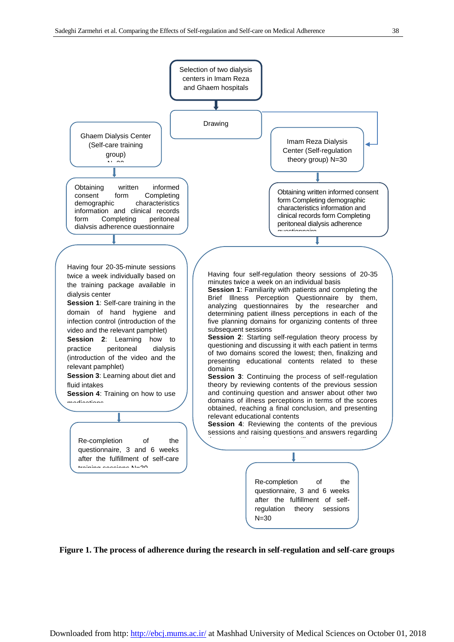

**Figure 1. The process of adherence during the research in self-regulation and self-care groups**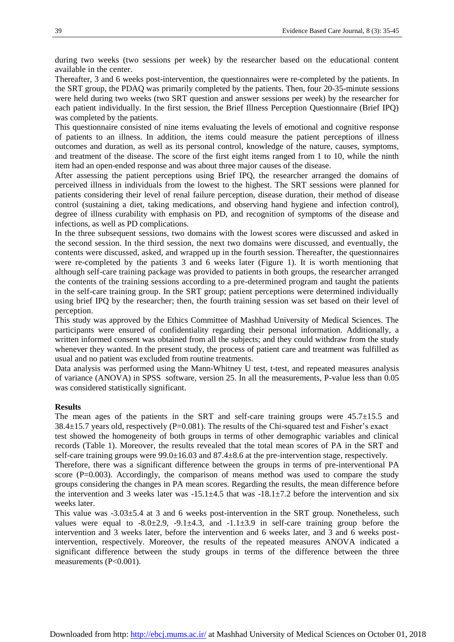during two weeks (two sessions per week) by the researcher based on the educational content available in the center.

Thereafter, 3 and 6 weeks post-intervention, the questionnaires were re-completed by the patients. In the SRT group, the PDAQ was primarily completed by the patients. Then, four 20-35-minute sessions were held during two weeks (two SRT question and answer sessions per week) by the researcher for each patient individually. In the first session, the Brief Illness Perception Questionnaire (Brief IPQ) was completed by the patients.

This questionnaire consisted of nine items evaluating the levels of emotional and cognitive response of patients to an illness. In addition, the items could measure the patient perceptions of illness outcomes and duration, as well as its personal control, knowledge of the nature, causes, symptoms, and treatment of the disease. The score of the first eight items ranged from 1 to 10, while the ninth item had an open-ended response and was about three major causes of the disease.

After assessing the patient perceptions using Brief IPQ, the researcher arranged the domains of perceived illness in individuals from the lowest to the highest. The SRT sessions were planned for patients considering their level of renal failure perception, disease duration, their method of disease control (sustaining a diet, taking medications, and observing hand hygiene and infection control), degree of illness curability with emphasis on PD, and recognition of symptoms of the disease and infections, as well as PD complications.

In the three subsequent sessions, two domains with the lowest scores were discussed and asked in the second session. In the third session, the next two domains were discussed, and eventually, the contents were discussed, asked, and wrapped up in the fourth session. Thereafter, the questionnaires were re-completed by the patients 3 and 6 weeks later (Figure 1). It is worth mentioning that although self-care training package was provided to patients in both groups, the researcher arranged the contents of the training sessions according to a pre-determined program and taught the patients in the self-care training group. In the SRT group; patient perceptions were determined individually using brief IPQ by the researcher; then, the fourth training session was set based on their level of perception.

This study was approved by the Ethics Committee of Mashhad University of Medical Sciences. The participants were ensured of confidentiality regarding their personal information. Additionally, a written informed consent was obtained from all the subjects; and they could withdraw from the study whenever they wanted. In the present study, the process of patient care and treatment was fulfilled as usual and no patient was excluded from routine treatments.

Data analysis was performed using the Mann-Whitney U test, t-test, and repeated measures analysis of variance (ANOVA) in SPSS software, version 25. In all the measurements, P-value less than 0.05 was considered statistically significant.

#### **Results**

The mean ages of the patients in the SRT and self-care training groups were  $45.7\pm15.5$  and 38.4±15.7 years old, respectively (P=0.081). The results of the Chi-squared test and Fisher's exact test showed the homogeneity of both groups in terms of other demographic variables and clinical records (Table 1). Moreover, the results revealed that the total mean scores of PA in the SRT and

self-care training groups were  $99.0\pm16.03$  and  $87.4\pm8.6$  at the pre-intervention stage, respectively. Therefore, there was a significant difference between the groups in terms of pre-interventional PA

score  $(P=0.003)$ . Accordingly, the comparison of means method was used to compare the study groups considering the changes in PA mean scores. Regarding the results, the mean difference before the intervention and 3 weeks later was  $-15.1\pm4.5$  that was  $-18.1\pm7.2$  before the intervention and six weeks later.

This value was -3.03±5.4 at 3 and 6 weeks post-intervention in the SRT group. Nonetheless, such values were equal to  $-8.0\pm 2.9$ ,  $-9.1\pm 4.3$ , and  $-1.1\pm 3.9$  in self-care training group before the intervention and 3 weeks later, before the intervention and 6 weeks later, and 3 and 6 weeks postintervention, respectively. Moreover, the results of the repeated measures ANOVA indicated a significant difference between the study groups in terms of the difference between the three measurements (P<0.001).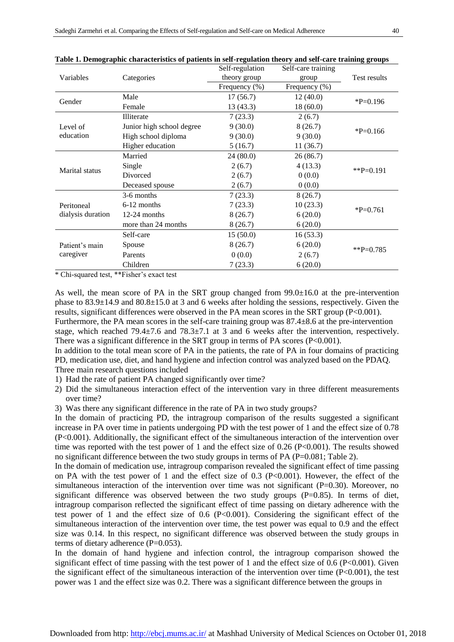|                                 | $\alpha$ is a complete construction of panelies in set $\alpha$ equation theory and set care training groups<br>Categories | Self-regulation  | Self-care training |              |  |
|---------------------------------|----------------------------------------------------------------------------------------------------------------------------|------------------|--------------------|--------------|--|
| Variables                       |                                                                                                                            | theory group     | group              | Test results |  |
|                                 |                                                                                                                            | Frequency $(\%)$ | Frequency (%)      |              |  |
| Gender                          | Male                                                                                                                       | 17(56.7)         | 12(40.0)           | $P=0.196$    |  |
|                                 | Female                                                                                                                     | 13(43.3)         | 18(60.0)           |              |  |
| Level of<br>education           | Illiterate                                                                                                                 | 7(23.3)          | 2(6.7)             |              |  |
|                                 | Junior high school degree                                                                                                  | 9(30.0)          | 8(26.7)            | $P=0.166$    |  |
|                                 | High school diploma                                                                                                        | 9(30.0)          | 9(30.0)            |              |  |
|                                 | Higher education                                                                                                           | 5(16.7)          | 11(36.7)           |              |  |
| Marital status                  | Married                                                                                                                    | 24(80.0)         | 26(86.7)           | ** $P=0.191$ |  |
|                                 | Single                                                                                                                     | 2(6.7)           | 4(13.3)            |              |  |
|                                 | Divorced                                                                                                                   | 2(6.7)           | 0(0.0)             |              |  |
|                                 | Deceased spouse                                                                                                            | 2(6.7)           | 0(0.0)             |              |  |
| Peritoneal<br>dialysis duration | 3-6 months                                                                                                                 | 7(23.3)          | 8(26.7)            |              |  |
|                                 | 6-12 months                                                                                                                | 7(23.3)          | 10(23.3)           | $P=0.761$    |  |
|                                 | $12-24$ months                                                                                                             | 8(26.7)          | 6(20.0)            |              |  |
|                                 | more than 24 months                                                                                                        | 8(26.7)          | 6(20.0)            |              |  |
| Patient's main<br>caregiver     | Self-care                                                                                                                  | 15(50.0)         | 16(53.3)           |              |  |
|                                 | Spouse                                                                                                                     | 8(26.7)          | 6(20.0)            |              |  |
|                                 | Parents                                                                                                                    | 0(0.0)           | 2(6.7)             | $*P=0.785$   |  |
|                                 | Children                                                                                                                   | 7(23.3)          | 6(20.0)            |              |  |

**Table 1. Demographic characteristics of patients in self-regulation theory and self-care training groups**

\* Chi-squared test, \*\*Fisher's exact test

As well, the mean score of PA in the SRT group changed from  $99.0\pm16.0$  at the pre-intervention phase to  $83.9\pm14.9$  and  $80.8\pm15.0$  at 3 and 6 weeks after holding the sessions, respectively. Given the results, significant differences were observed in the PA mean scores in the SRT group (P<0.001). Furthermore, the PA mean scores in the self-care training group was 87.4 $\pm$ 8.6 at the pre-intervention stage, which reached 79.4 $\pm$ 7.6 and 78.3 $\pm$ 7.1 at 3 and 6 weeks after the intervention, respectively. There was a significant difference in the SRT group in terms of PA scores (P<0.001).

In addition to the total mean score of PA in the patients, the rate of PA in four domains of practicing PD, medication use, diet, and hand hygiene and infection control was analyzed based on the PDAQ. Three main research questions included

- 1) Had the rate of patient PA changed significantly over time?
- 2) Did the simultaneous interaction effect of the intervention vary in three different measurements over time?
- 3) Was there any significant difference in the rate of PA in two study groups?

In the domain of practicing PD, the intragroup comparison of the results suggested a significant increase in PA over time in patients undergoing PD with the test power of 1 and the effect size of 0.78 (P<0.001). Additionally, the significant effect of the simultaneous interaction of the intervention over time was reported with the test power of 1 and the effect size of 0.26 (P<0.001). The results showed no significant difference between the two study groups in terms of PA (P=0.081; Table 2).

In the domain of medication use, intragroup comparison revealed the significant effect of time passing on PA with the test power of 1 and the effect size of  $0.3$  (P<0.001). However, the effect of the simultaneous interaction of the intervention over time was not significant (P=0.30). Moreover, no significant difference was observed between the two study groups (P=0.85). In terms of diet, intragroup comparison reflected the significant effect of time passing on dietary adherence with the test power of 1 and the effect size of 0.6 (P<0.001). Considering the significant effect of the simultaneous interaction of the intervention over time, the test power was equal to 0.9 and the effect size was 0.14. In this respect, no significant difference was observed between the study groups in terms of dietary adherence  $(P=0.053)$ .

In the domain of hand hygiene and infection control, the intragroup comparison showed the significant effect of time passing with the test power of 1 and the effect size of 0.6 (P<0.001). Given the significant effect of the simultaneous interaction of the intervention over time  $(P<0.001)$ , the test power was 1 and the effect size was 0.2. There was a significant difference between the groups in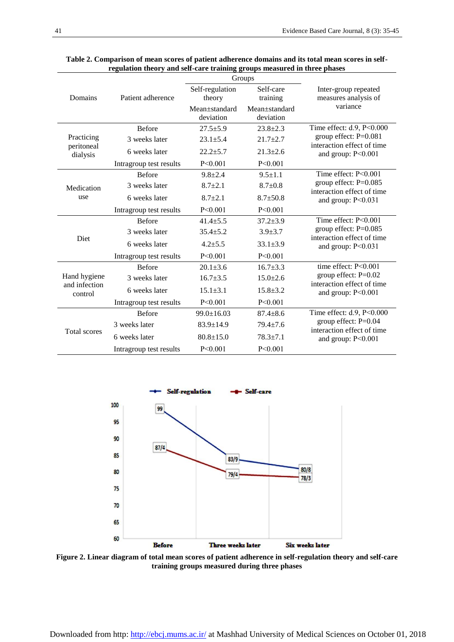|                                          |                         | Groups           |                |                                                                                 |  |
|------------------------------------------|-------------------------|------------------|----------------|---------------------------------------------------------------------------------|--|
|                                          |                         | Self-regulation  | Self-care      | Inter-group repeated                                                            |  |
| Domains                                  | Patient adherence       | theory           | training       | measures analysis of                                                            |  |
|                                          |                         | Mean±standard    | Mean+standard  | variance                                                                        |  |
|                                          |                         | deviation        | deviation      |                                                                                 |  |
| Practicing<br>peritoneal<br>dialysis     | <b>Before</b>           | $27.5 + 5.9$     | $23.8 + 2.3$   | Time effect: $d.9$ , P<0.000                                                    |  |
|                                          | 3 weeks later           | $23.1 + 5.4$     | $21.7 \pm 2.7$ | group effect: P=0.081<br>interaction effect of time<br>and group: $P<0.001$     |  |
|                                          | 6 weeks later           | $22.2 + 5.7$     | $21.3 + 2.6$   |                                                                                 |  |
|                                          | Intragroup test results | P < 0.001        | P < 0.001      |                                                                                 |  |
| Medication<br>use                        | <b>Before</b>           | $9.8 + 2.4$      | $9.5 + 1.1$    | Time effect: $P < 0.001$                                                        |  |
|                                          | 3 weeks later           | $8.7 + 2.1$      | $8.7+0.8$      | group effect: $P=0.085$<br>interaction effect of time                           |  |
|                                          | 6 weeks later           | $8.7 + 2.1$      | $8.7 + 50.8$   | and group: $P < 0.031$                                                          |  |
|                                          | Intragroup test results | P < 0.001        | P < 0.001      |                                                                                 |  |
| Diet                                     | <b>Before</b>           | $41.4 + 5.5$     | $37.2 + 3.9$   | Time effect: $P<0.001$                                                          |  |
|                                          | 3 weeks later           | $35.4 \pm 5.2$   | $3.9 + 3.7$    | group effect: $P=0.085$<br>interaction effect of time<br>and group: $P < 0.031$ |  |
|                                          | 6 weeks later           | $4.2 + 5.5$      | $33.1 + 3.9$   |                                                                                 |  |
|                                          | Intragroup test results | P < 0.001        | P < 0.001      |                                                                                 |  |
| Hand hygiene<br>and infection<br>control | <b>Before</b>           | $20.1 + 3.6$     | $16.7 + 3.3$   | time effect: $P<0.001$                                                          |  |
|                                          | 3 weeks later           | $16.7 + 3.5$     | $15.0+2.6$     | group effect: $P=0.02$<br>interaction effect of time                            |  |
|                                          | 6 weeks later           | $15.1 \pm 3.1$   | $15.8 + 3.2$   | and group: $P<0.001$                                                            |  |
|                                          | Intragroup test results | $P \le 0.001$    | P < 0.001      |                                                                                 |  |
| <b>Total scores</b>                      | <b>Before</b>           | $99.0 \pm 16.03$ | $87.4 + 8.6$   | Time effect: d.9, P<0.000                                                       |  |
|                                          | 3 weeks later           | $83.9 \pm 14.9$  | $79.4 \pm 7.6$ | group effect: $P=0.04$<br>interaction effect of time                            |  |
|                                          | 6 weeks later           | $80.8 \pm 15.0$  | $78.3 + 7.1$   | and group: $P<0.001$                                                            |  |
|                                          | Intragroup test results | P < 0.001        | P < 0.001      |                                                                                 |  |

| Table 2. Comparison of mean scores of patient adherence domains and its total mean scores in self- |                                                                          |  |
|----------------------------------------------------------------------------------------------------|--------------------------------------------------------------------------|--|
|                                                                                                    | regulation theory and self-care training groups measured in three phases |  |



**Figure 2. Linear diagram of total mean scores of patient adherence in self-regulation theory and self-care training groups measured during three phases**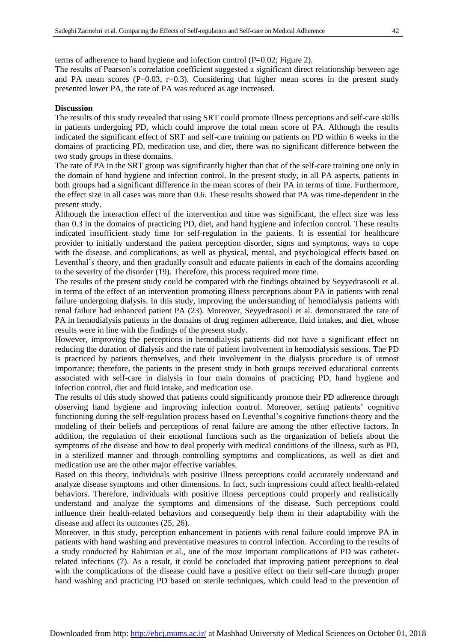terms of adherence to hand hygiene and infection control  $(P=0.02;$  Figure 2).

The results of Pearson's correlation coefficient suggested a significant direct relationship between age and PA mean scores  $(P=0.03, r=0.3)$ . Considering that higher mean scores in the present study presented lower PA, the rate of PA was reduced as age increased.

#### **Discussion**

The results of this study revealed that using SRT could promote illness perceptions and self-care skills in patients undergoing PD, which could improve the total mean score of PA. Although the results indicated the significant effect of SRT and self-care training on patients on PD within 6 weeks in the domains of practicing PD, medication use, and diet, there was no significant difference between the two study groups in these domains.

The rate of PA in the SRT group was significantly higher than that of the self-care training one only in the domain of hand hygiene and infection control. In the present study, in all PA aspects, patients in both groups had a significant difference in the mean scores of their PA in terms of time. Furthermore, the effect size in all cases was more than 0.6. These results showed that PA was time-dependent in the present study.

Although the interaction effect of the intervention and time was significant, the effect size was less than 0.3 in the domains of practicing PD, diet, and hand hygiene and infection control. These results indicated insufficient study time for self-regulation in the patients. It is essential for healthcare provider to initially understand the patient perception disorder, signs and symptoms, ways to cope with the disease, and complications, as well as physical, mental, and psychological effects based on Leventhal's theory, and then gradually consult and educate patients in each of the domains according to the severity of the disorder (19). Therefore, this process required more time.

The results of the present study could be compared with the findings obtained by Seyyedrasooli et al. in terms of the effect of an intervention promoting illness perceptions about PA in patients with renal failure undergoing dialysis. In this study, improving the understanding of hemodialysis patients with renal failure had enhanced patient PA (23). Moreover, Seyyedrasooli et al. demonstrated the rate of PA in hemodialysis patients in the domains of drug regimen adherence, fluid intakes, and diet, whose results were in line with the findings of the present study.

However, improving the perceptions in hemodialysis patients did not have a significant effect on reducing the duration of dialysis and the rate of patient involvement in hemodialysis sessions. The PD is practiced by patients themselves, and their involvement in the dialysis procedure is of utmost importance; therefore, the patients in the present study in both groups received educational contents associated with self-care in dialysis in four main domains of practicing PD, hand hygiene and infection control, diet and fluid intake, and medication use.

The results of this study showed that patients could significantly promote their PD adherence through observing hand hygiene and improving infection control. Moreover, setting patients' cognitive functioning during the self-regulation process based on Leventhal's cognitive functions theory and the modeling of their beliefs and perceptions of renal failure are among the other effective factors. In addition, the regulation of their emotional functions such as the organization of beliefs about the symptoms of the disease and how to deal properly with medical conditions of the illness, such as PD, in a sterilized manner and through controlling symptoms and complications, as well as diet and medication use are the other major effective variables.

Based on this theory, individuals with positive illness perceptions could accurately understand and analyze disease symptoms and other dimensions. In fact, such impressions could affect health-related behaviors. Therefore, individuals with positive illness perceptions could properly and realistically understand and analyze the symptoms and dimensions of the disease. Such perceptions could influence their health-related behaviors and consequently help them in their adaptability with the disease and affect its outcomes (25, 26).

Moreover, in this study, perception enhancement in patients with renal failure could improve PA in patients with hand washing and preventative measures to control infection. According to the results of a study conducted by Rahimian et al., one of the most important complications of PD was catheterrelated infections (7). As a result, it could be concluded that improving patient perceptions to deal with the complications of the disease could have a positive effect on their self-care through proper hand washing and practicing PD based on sterile techniques, which could lead to the prevention of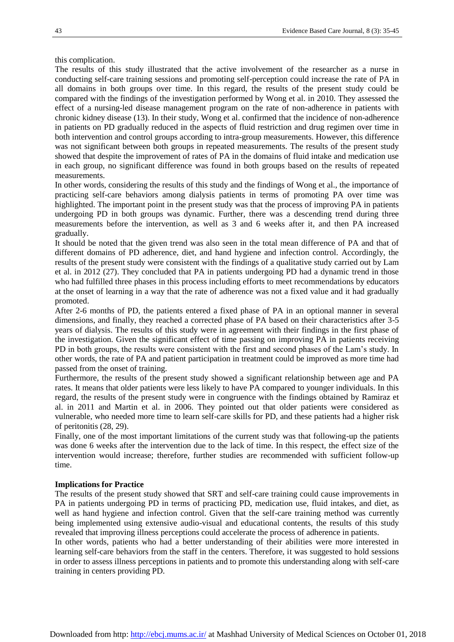this complication.

The results of this study illustrated that the active involvement of the researcher as a nurse in conducting self-care training sessions and promoting self-perception could increase the rate of PA in all domains in both groups over time. In this regard, the results of the present study could be compared with the findings of the investigation performed by Wong et al. in 2010. They assessed the effect of a nursing-led disease management program on the rate of non-adherence in patients with chronic kidney disease (13). In their study, Wong et al. confirmed that the incidence of non-adherence in patients on PD gradually reduced in the aspects of fluid restriction and drug regimen over time in both intervention and control groups according to intra-group measurements. However, this difference was not significant between both groups in repeated measurements. The results of the present study showed that despite the improvement of rates of PA in the domains of fluid intake and medication use in each group, no significant difference was found in both groups based on the results of repeated measurements.

In other words, considering the results of this study and the findings of Wong et al., the importance of practicing self-care behaviors among dialysis patients in terms of promoting PA over time was highlighted. The important point in the present study was that the process of improving PA in patients undergoing PD in both groups was dynamic. Further, there was a descending trend during three measurements before the intervention, as well as 3 and 6 weeks after it, and then PA increased gradually.

It should be noted that the given trend was also seen in the total mean difference of PA and that of different domains of PD adherence, diet, and hand hygiene and infection control. Accordingly, the results of the present study were consistent with the findings of a qualitative study carried out by Lam et al. in 2012 (27). They concluded that PA in patients undergoing PD had a dynamic trend in those who had fulfilled three phases in this process including efforts to meet recommendations by educators at the onset of learning in a way that the rate of adherence was not a fixed value and it had gradually promoted.

After 2-6 months of PD, the patients entered a fixed phase of PA in an optional manner in several dimensions, and finally, they reached a corrected phase of PA based on their characteristics after 3-5 years of dialysis. The results of this study were in agreement with their findings in the first phase of the investigation. Given the significant effect of time passing on improving PA in patients receiving PD in both groups, the results were consistent with the first and second phases of the Lam's study. In other words, the rate of PA and patient participation in treatment could be improved as more time had passed from the onset of training.

Furthermore, the results of the present study showed a significant relationship between age and PA rates. It means that older patients were less likely to have PA compared to younger individuals. In this regard, the results of the present study were in congruence with the findings obtained by Ramiraz et al. in 2011 and Martin et al. in 2006. They pointed out that older patients were considered as vulnerable, who needed more time to learn self-care skills for PD, and these patients had a higher risk of peritonitis (28, 29).

Finally, one of the most important limitations of the current study was that following-up the patients was done 6 weeks after the intervention due to the lack of time. In this respect, the effect size of the intervention would increase; therefore, further studies are recommended with sufficient follow-up time.

#### **Implications for Practice**

The results of the present study showed that SRT and self-care training could cause improvements in PA in patients undergoing PD in terms of practicing PD, medication use, fluid intakes, and diet, as well as hand hygiene and infection control. Given that the self-care training method was currently being implemented using extensive audio-visual and educational contents, the results of this study revealed that improving illness perceptions could accelerate the process of adherence in patients.

In other words, patients who had a better understanding of their abilities were more interested in learning self-care behaviors from the staff in the centers. Therefore, it was suggested to hold sessions in order to assess illness perceptions in patients and to promote this understanding along with self-care training in centers providing PD.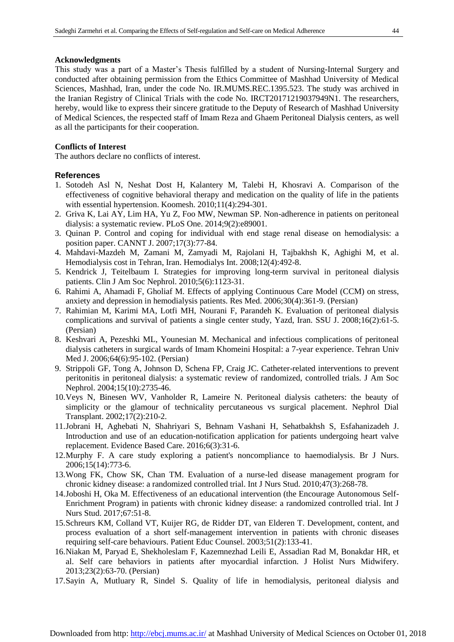#### **Acknowledgments**

This study was a part of a Master's Thesis fulfilled by a student of Nursing-Internal Surgery and conducted after obtaining permission from the Ethics Committee of Mashhad University of Medical Sciences, Mashhad, Iran, under the code No. IR.MUMS.REC.1395.523. The study was archived in the Iranian Registry of Clinical Trials with the code No. IRCT20171219037949N1. The researchers, hereby, would like to express their sincere gratitude to the Deputy of Research of Mashhad University of Medical Sciences, the respected staff of Imam Reza and Ghaem Peritoneal Dialysis centers, as well as all the participants for their cooperation.

#### **Conflicts of Interest**

The authors declare no conflicts of interest.

#### **References**

- 1. Sotodeh Asl N, Neshat Dost H, Kalantery M, Talebi H, Khosravi A. Comparison of the effectiveness of cognitive behavioral therapy and medication on the quality of life in the patients with essential hypertension. Koomesh. 2010;11(4):294-301.
- 2. Griva K, Lai AY, Lim HA, Yu Z, Foo MW, Newman SP. Non-adherence in patients on peritoneal dialysis: a systematic review. PLoS One. 2014;9(2):e89001.
- 3. Quinan P. Control and coping for individual with end stage renal disease on hemodialysis: a position paper. CANNT J. 2007;17(3):77-84.
- 4. Mahdavi-Mazdeh M, Zamani M, Zamyadi M, Rajolani H, Tajbakhsh K, Aghighi M, et al. Hemodialysis cost in Tehran, Iran. Hemodialys Int. 2008;12(4):492-8.
- 5. Kendrick J, Teitelbaum I. Strategies for improving long-term survival in peritoneal dialysis patients. Clin J Am Soc Nephrol. 2010;5(6):1123-31.
- 6. Rahimi A, Ahamadi F, Gholiaf M. Effects of applying Continuous Care Model (CCM) on stress, anxiety and depression in hemodialysis patients. Res Med. 2006;30(4):361-9. (Persian)
- 7. Rahimian M, Karimi MA, Lotfi MH, Nourani F, Parandeh K. Evaluation of peritoneal dialysis complications and survival of patients a single center study, Yazd, Iran. SSU J. 2008;16(2):61-5. (Persian)
- 8. Keshvari A, Pezeshki ML, Younesian M. Mechanical and infectious complications of peritoneal dialysis catheters in surgical wards of Imam Khomeini Hospital: a 7-year experience. Tehran Univ Med J. 2006;64(6):95-102. (Persian)
- 9. Strippoli GF, Tong A, Johnson D, Schena FP, Craig JC. Catheter-related interventions to prevent peritonitis in peritoneal dialysis: a systematic review of randomized, controlled trials. J Am Soc Nephrol. 2004;15(10):2735-46.
- 10.Veys N, Binesen WV, Vanholder R, Lameire N. Peritoneal dialysis catheters: the beauty of simplicity or the glamour of technicality percutaneous vs surgical placement. Nephrol Dial Transplant. 2002;17(2):210-2.
- 11.Jobrani H, Aghebati N, Shahriyari S, Behnam Vashani H, Sehatbakhsh S, Esfahanizadeh J. Introduction and use of an education-notification application for patients undergoing heart valve replacement. Evidence Based Care. 2016;6(3):31-6.
- 12.Murphy F. A care study exploring a patient's noncompliance to haemodialysis. Br J Nurs. 2006;15(14):773-6.
- 13.Wong FK, Chow SK, Chan TM. Evaluation of a nurse-led disease management program for chronic kidney disease: a randomized controlled trial. Int J Nurs Stud. 2010;47(3):268-78.
- 14.Joboshi H, Oka M. Effectiveness of an educational intervention (the Encourage Autonomous Self-Enrichment Program) in patients with chronic kidney disease: a randomized controlled trial. Int J Nurs Stud. 2017;67:51-8.
- 15.Schreurs KM, Colland VT, Kuijer RG, de Ridder DT, van Elderen T. Development, content, and process evaluation of a short self-management intervention in patients with chronic diseases requiring self-care behaviours. Patient Educ Counsel. 2003;51(2):133-41.
- 16.Niakan M, Paryad E, Shekholeslam F, Kazemnezhad Leili E, Assadian Rad M, Bonakdar HR, et al. Self care behaviors in patients after myocardial infarction. J Holist Nurs Midwifery. 2013;23(2):63-70. (Persian)
- 17.Sayin A, Mutluary R, Sindel S. Quality of life in hemodialysis, peritoneal dialysis and